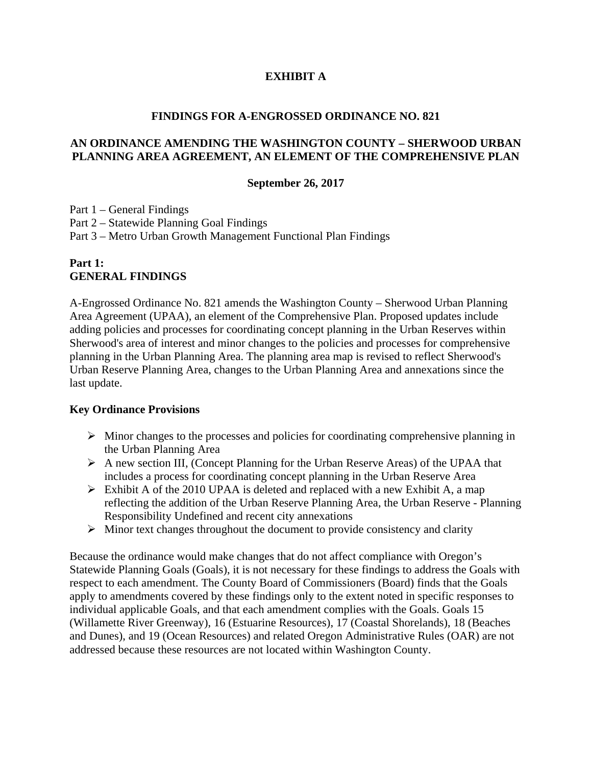## **EXHIBIT A**

#### **FINDINGS FOR A-ENGROSSED ORDINANCE NO. 821**

#### **AN ORDINANCE AMENDING THE WASHINGTON COUNTY – SHERWOOD URBAN PLANNING AREA AGREEMENT, AN ELEMENT OF THE COMPREHENSIVE PLAN**

#### **September 26, 2017**

Part 1 – General Findings Part 2 – Statewide Planning Goal Findings Part 3 – Metro Urban Growth Management Functional Plan Findings

#### **Part 1: GENERAL FINDINGS**

A-Engrossed Ordinance No. 821 amends the Washington County – Sherwood Urban Planning Area Agreement (UPAA), an element of the Comprehensive Plan. Proposed updates include adding policies and processes for coordinating concept planning in the Urban Reserves within Sherwood's area of interest and minor changes to the policies and processes for comprehensive planning in the Urban Planning Area. The planning area map is revised to reflect Sherwood's Urban Reserve Planning Area, changes to the Urban Planning Area and annexations since the last update.

#### **Key Ordinance Provisions**

- $\triangleright$  Minor changes to the processes and policies for coordinating comprehensive planning in the Urban Planning Area
- A new section III, (Concept Planning for the Urban Reserve Areas) of the UPAA that includes a process for coordinating concept planning in the Urban Reserve Area
- $\triangleright$  Exhibit A of the 2010 UPAA is deleted and replaced with a new Exhibit A, a map reflecting the addition of the Urban Reserve Planning Area, the Urban Reserve - Planning Responsibility Undefined and recent city annexations
- $\triangleright$  Minor text changes throughout the document to provide consistency and clarity

Because the ordinance would make changes that do not affect compliance with Oregon's Statewide Planning Goals (Goals), it is not necessary for these findings to address the Goals with respect to each amendment. The County Board of Commissioners (Board) finds that the Goals apply to amendments covered by these findings only to the extent noted in specific responses to individual applicable Goals, and that each amendment complies with the Goals. Goals 15 (Willamette River Greenway), 16 (Estuarine Resources), 17 (Coastal Shorelands), 18 (Beaches and Dunes), and 19 (Ocean Resources) and related Oregon Administrative Rules (OAR) are not addressed because these resources are not located within Washington County.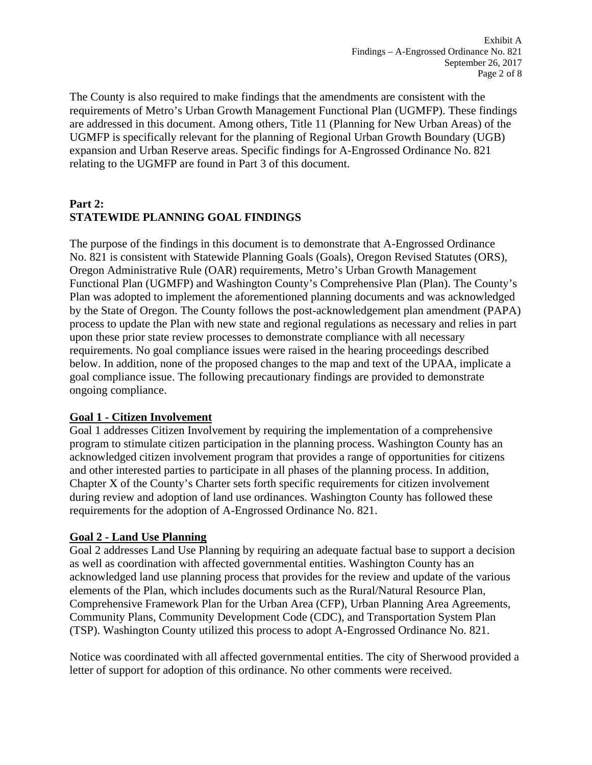The County is also required to make findings that the amendments are consistent with the requirements of Metro's Urban Growth Management Functional Plan (UGMFP). These findings are addressed in this document. Among others, Title 11 (Planning for New Urban Areas) of the UGMFP is specifically relevant for the planning of Regional Urban Growth Boundary (UGB) expansion and Urban Reserve areas. Specific findings for A-Engrossed Ordinance No. 821 relating to the UGMFP are found in Part 3 of this document.

# **Part 2: STATEWIDE PLANNING GOAL FINDINGS**

The purpose of the findings in this document is to demonstrate that A-Engrossed Ordinance No. 821 is consistent with Statewide Planning Goals (Goals), Oregon Revised Statutes (ORS), Oregon Administrative Rule (OAR) requirements, Metro's Urban Growth Management Functional Plan (UGMFP) and Washington County's Comprehensive Plan (Plan). The County's Plan was adopted to implement the aforementioned planning documents and was acknowledged by the State of Oregon. The County follows the post-acknowledgement plan amendment (PAPA) process to update the Plan with new state and regional regulations as necessary and relies in part upon these prior state review processes to demonstrate compliance with all necessary requirements. No goal compliance issues were raised in the hearing proceedings described below. In addition, none of the proposed changes to the map and text of the UPAA, implicate a goal compliance issue. The following precautionary findings are provided to demonstrate ongoing compliance.

## **Goal 1 - Citizen Involvement**

Goal 1 addresses Citizen Involvement by requiring the implementation of a comprehensive program to stimulate citizen participation in the planning process. Washington County has an acknowledged citizen involvement program that provides a range of opportunities for citizens and other interested parties to participate in all phases of the planning process. In addition, Chapter X of the County's Charter sets forth specific requirements for citizen involvement during review and adoption of land use ordinances. Washington County has followed these requirements for the adoption of A-Engrossed Ordinance No. 821.

# **Goal 2 - Land Use Planning**

Goal 2 addresses Land Use Planning by requiring an adequate factual base to support a decision as well as coordination with affected governmental entities. Washington County has an acknowledged land use planning process that provides for the review and update of the various elements of the Plan, which includes documents such as the Rural/Natural Resource Plan, Comprehensive Framework Plan for the Urban Area (CFP), Urban Planning Area Agreements, Community Plans, Community Development Code (CDC), and Transportation System Plan (TSP). Washington County utilized this process to adopt A-Engrossed Ordinance No. 821.

Notice was coordinated with all affected governmental entities. The city of Sherwood provided a letter of support for adoption of this ordinance. No other comments were received.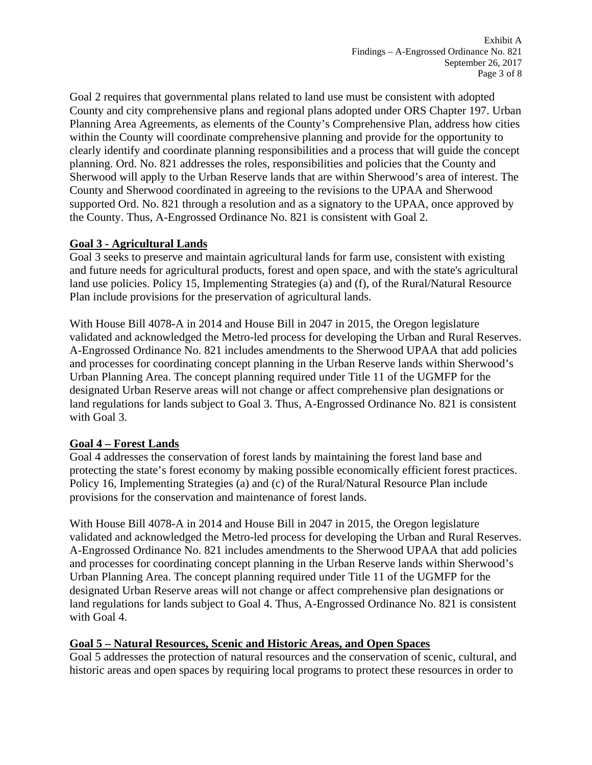Goal 2 requires that governmental plans related to land use must be consistent with adopted County and city comprehensive plans and regional plans adopted under ORS Chapter 197. Urban Planning Area Agreements, as elements of the County's Comprehensive Plan, address how cities within the County will coordinate comprehensive planning and provide for the opportunity to clearly identify and coordinate planning responsibilities and a process that will guide the concept planning. Ord. No. 821 addresses the roles, responsibilities and policies that the County and Sherwood will apply to the Urban Reserve lands that are within Sherwood's area of interest. The County and Sherwood coordinated in agreeing to the revisions to the UPAA and Sherwood supported Ord. No. 821 through a resolution and as a signatory to the UPAA, once approved by the County. Thus, A-Engrossed Ordinance No. 821 is consistent with Goal 2.

## **Goal 3 - Agricultural Lands**

Goal 3 seeks to preserve and maintain agricultural lands for farm use, consistent with existing and future needs for agricultural products, forest and open space, and with the state's agricultural land use policies. Policy 15, Implementing Strategies (a) and (f), of the Rural/Natural Resource Plan include provisions for the preservation of agricultural lands.

With House Bill 4078-A in 2014 and House Bill in 2047 in 2015, the Oregon legislature validated and acknowledged the Metro-led process for developing the Urban and Rural Reserves. A-Engrossed Ordinance No. 821 includes amendments to the Sherwood UPAA that add policies and processes for coordinating concept planning in the Urban Reserve lands within Sherwood's Urban Planning Area. The concept planning required under Title 11 of the UGMFP for the designated Urban Reserve areas will not change or affect comprehensive plan designations or land regulations for lands subject to Goal 3. Thus, A-Engrossed Ordinance No. 821 is consistent with Goal 3.

## **Goal 4 – Forest Lands**

Goal 4 addresses the conservation of forest lands by maintaining the forest land base and protecting the state's forest economy by making possible economically efficient forest practices. Policy 16, Implementing Strategies (a) and (c) of the Rural/Natural Resource Plan include provisions for the conservation and maintenance of forest lands.

With House Bill 4078-A in 2014 and House Bill in 2047 in 2015, the Oregon legislature validated and acknowledged the Metro-led process for developing the Urban and Rural Reserves. A-Engrossed Ordinance No. 821 includes amendments to the Sherwood UPAA that add policies and processes for coordinating concept planning in the Urban Reserve lands within Sherwood's Urban Planning Area. The concept planning required under Title 11 of the UGMFP for the designated Urban Reserve areas will not change or affect comprehensive plan designations or land regulations for lands subject to Goal 4. Thus, A-Engrossed Ordinance No. 821 is consistent with Goal 4.

## **Goal 5 – Natural Resources, Scenic and Historic Areas, and Open Spaces**

Goal 5 addresses the protection of natural resources and the conservation of scenic, cultural, and historic areas and open spaces by requiring local programs to protect these resources in order to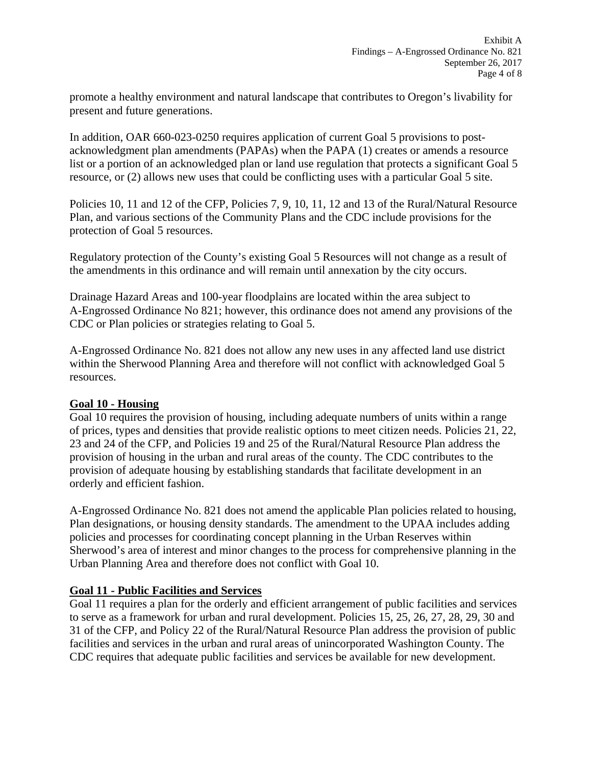promote a healthy environment and natural landscape that contributes to Oregon's livability for present and future generations.

In addition, OAR 660-023-0250 requires application of current Goal 5 provisions to postacknowledgment plan amendments (PAPAs) when the PAPA (1) creates or amends a resource list or a portion of an acknowledged plan or land use regulation that protects a significant Goal 5 resource, or (2) allows new uses that could be conflicting uses with a particular Goal 5 site.

Policies 10, 11 and 12 of the CFP, Policies 7, 9, 10, 11, 12 and 13 of the Rural/Natural Resource Plan, and various sections of the Community Plans and the CDC include provisions for the protection of Goal 5 resources.

Regulatory protection of the County's existing Goal 5 Resources will not change as a result of the amendments in this ordinance and will remain until annexation by the city occurs.

Drainage Hazard Areas and 100-year floodplains are located within the area subject to A-Engrossed Ordinance No 821; however, this ordinance does not amend any provisions of the CDC or Plan policies or strategies relating to Goal 5.

A-Engrossed Ordinance No. 821 does not allow any new uses in any affected land use district within the Sherwood Planning Area and therefore will not conflict with acknowledged Goal 5 resources.

## **Goal 10 - Housing**

Goal 10 requires the provision of housing, including adequate numbers of units within a range of prices, types and densities that provide realistic options to meet citizen needs. Policies 21, 22, 23 and 24 of the CFP, and Policies 19 and 25 of the Rural/Natural Resource Plan address the provision of housing in the urban and rural areas of the county. The CDC contributes to the provision of adequate housing by establishing standards that facilitate development in an orderly and efficient fashion.

A-Engrossed Ordinance No. 821 does not amend the applicable Plan policies related to housing, Plan designations, or housing density standards. The amendment to the UPAA includes adding policies and processes for coordinating concept planning in the Urban Reserves within Sherwood's area of interest and minor changes to the process for comprehensive planning in the Urban Planning Area and therefore does not conflict with Goal 10.

## **Goal 11 - Public Facilities and Services**

Goal 11 requires a plan for the orderly and efficient arrangement of public facilities and services to serve as a framework for urban and rural development. Policies 15, 25, 26, 27, 28, 29, 30 and 31 of the CFP, and Policy 22 of the Rural/Natural Resource Plan address the provision of public facilities and services in the urban and rural areas of unincorporated Washington County. The CDC requires that adequate public facilities and services be available for new development.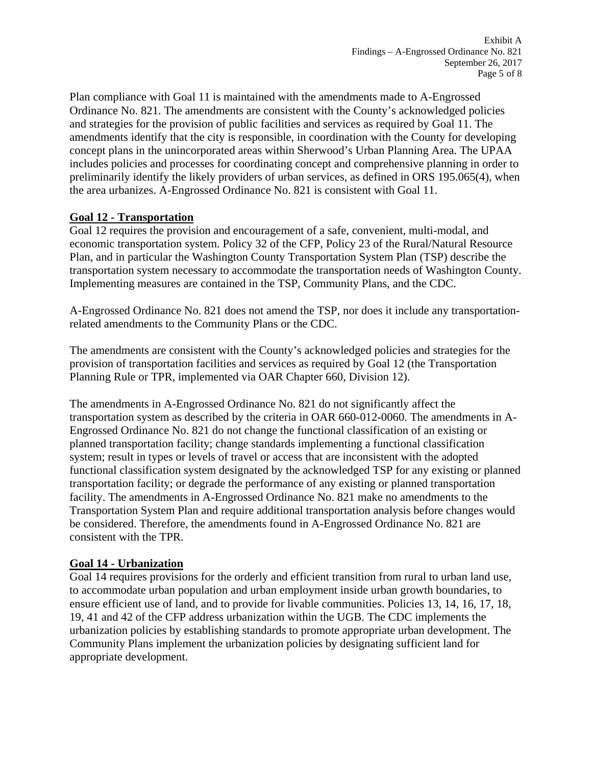Plan compliance with Goal 11 is maintained with the amendments made to A-Engrossed Ordinance No. 821. The amendments are consistent with the County's acknowledged policies and strategies for the provision of public facilities and services as required by Goal 11. The amendments identify that the city is responsible, in coordination with the County for developing concept plans in the unincorporated areas within Sherwood's Urban Planning Area. The UPAA includes policies and processes for coordinating concept and comprehensive planning in order to preliminarily identify the likely providers of urban services, as defined in ORS 195.065(4), when the area urbanizes. A-Engrossed Ordinance No. 821 is consistent with Goal 11.

## **Goal 12 - Transportation**

Goal 12 requires the provision and encouragement of a safe, convenient, multi-modal, and economic transportation system. Policy 32 of the CFP, Policy 23 of the Rural/Natural Resource Plan, and in particular the Washington County Transportation System Plan (TSP) describe the transportation system necessary to accommodate the transportation needs of Washington County. Implementing measures are contained in the TSP, Community Plans, and the CDC.

A-Engrossed Ordinance No. 821 does not amend the TSP, nor does it include any transportationrelated amendments to the Community Plans or the CDC.

The amendments are consistent with the County's acknowledged policies and strategies for the provision of transportation facilities and services as required by Goal 12 (the Transportation Planning Rule or TPR, implemented via OAR Chapter 660, Division 12).

The amendments in A-Engrossed Ordinance No. 821 do not significantly affect the transportation system as described by the criteria in OAR 660-012-0060. The amendments in A-Engrossed Ordinance No. 821 do not change the functional classification of an existing or planned transportation facility; change standards implementing a functional classification system; result in types or levels of travel or access that are inconsistent with the adopted functional classification system designated by the acknowledged TSP for any existing or planned transportation facility; or degrade the performance of any existing or planned transportation facility. The amendments in A-Engrossed Ordinance No. 821 make no amendments to the Transportation System Plan and require additional transportation analysis before changes would be considered. Therefore, the amendments found in A-Engrossed Ordinance No. 821 are consistent with the TPR.

## **Goal 14 - Urbanization**

Goal 14 requires provisions for the orderly and efficient transition from rural to urban land use, to accommodate urban population and urban employment inside urban growth boundaries, to ensure efficient use of land, and to provide for livable communities. Policies 13, 14, 16, 17, 18, 19, 41 and 42 of the CFP address urbanization within the UGB. The CDC implements the urbanization policies by establishing standards to promote appropriate urban development. The Community Plans implement the urbanization policies by designating sufficient land for appropriate development.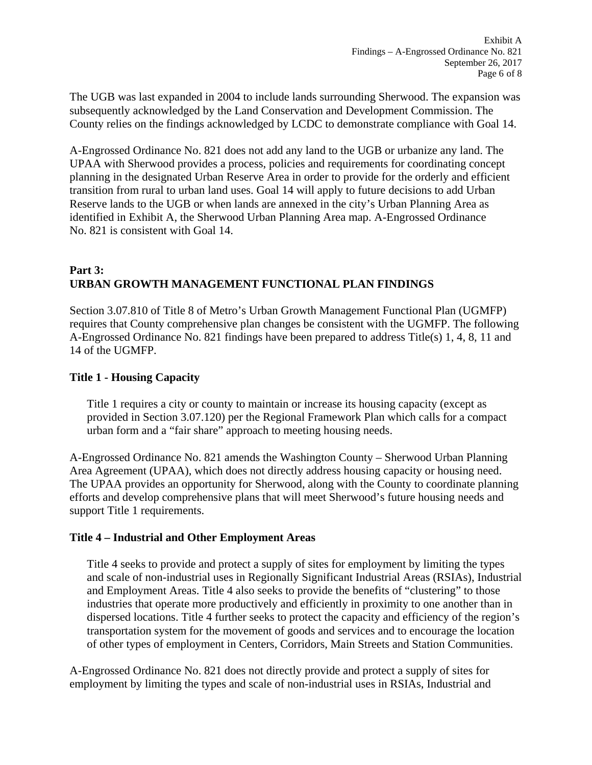The UGB was last expanded in 2004 to include lands surrounding Sherwood. The expansion was subsequently acknowledged by the Land Conservation and Development Commission. The County relies on the findings acknowledged by LCDC to demonstrate compliance with Goal 14.

A-Engrossed Ordinance No. 821 does not add any land to the UGB or urbanize any land. The UPAA with Sherwood provides a process, policies and requirements for coordinating concept planning in the designated Urban Reserve Area in order to provide for the orderly and efficient transition from rural to urban land uses. Goal 14 will apply to future decisions to add Urban Reserve lands to the UGB or when lands are annexed in the city's Urban Planning Area as identified in Exhibit A, the Sherwood Urban Planning Area map. A-Engrossed Ordinance No. 821 is consistent with Goal 14.

# **Part 3: URBAN GROWTH MANAGEMENT FUNCTIONAL PLAN FINDINGS**

Section 3.07.810 of Title 8 of Metro's Urban Growth Management Functional Plan (UGMFP) requires that County comprehensive plan changes be consistent with the UGMFP. The following A-Engrossed Ordinance No. 821 findings have been prepared to address Title(s) 1, 4, 8, 11 and 14 of the UGMFP.

## **Title 1 - Housing Capacity**

Title 1 requires a city or county to maintain or increase its housing capacity (except as provided in Section 3.07.120) per the Regional Framework Plan which calls for a compact urban form and a "fair share" approach to meeting housing needs.

A-Engrossed Ordinance No. 821 amends the Washington County – Sherwood Urban Planning Area Agreement (UPAA), which does not directly address housing capacity or housing need. The UPAA provides an opportunity for Sherwood, along with the County to coordinate planning efforts and develop comprehensive plans that will meet Sherwood's future housing needs and support Title 1 requirements.

## **Title 4 – Industrial and Other Employment Areas**

Title 4 seeks to provide and protect a supply of sites for employment by limiting the types and scale of non-industrial uses in Regionally Significant Industrial Areas (RSIAs), Industrial and Employment Areas. Title 4 also seeks to provide the benefits of "clustering" to those industries that operate more productively and efficiently in proximity to one another than in dispersed locations. Title 4 further seeks to protect the capacity and efficiency of the region's transportation system for the movement of goods and services and to encourage the location of other types of employment in Centers, Corridors, Main Streets and Station Communities.

A-Engrossed Ordinance No. 821 does not directly provide and protect a supply of sites for employment by limiting the types and scale of non-industrial uses in RSIAs, Industrial and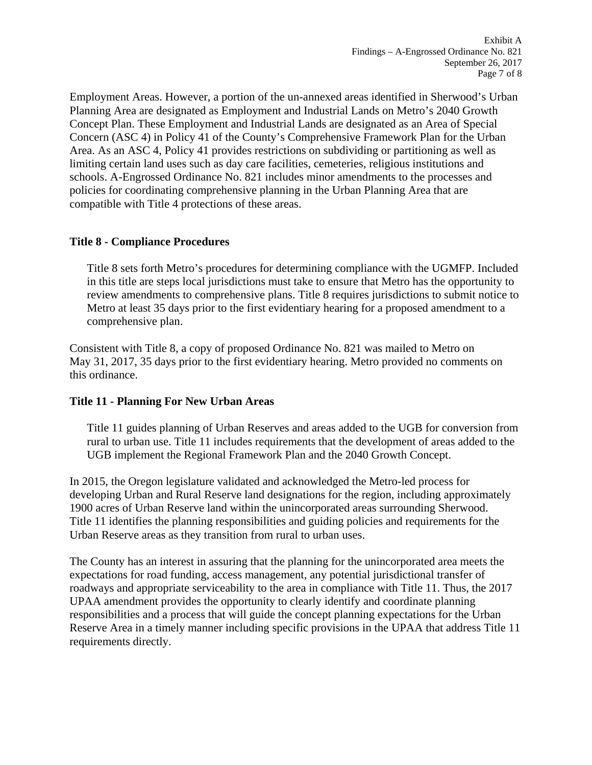Employment Areas. However, a portion of the un-annexed areas identified in Sherwood's Urban Planning Area are designated as Employment and Industrial Lands on Metro's 2040 Growth Concept Plan. These Employment and Industrial Lands are designated as an Area of Special Concern (ASC 4) in Policy 41 of the County's Comprehensive Framework Plan for the Urban Area. As an ASC 4, Policy 41 provides restrictions on subdividing or partitioning as well as limiting certain land uses such as day care facilities, cemeteries, religious institutions and schools. A-Engrossed Ordinance No. 821 includes minor amendments to the processes and policies for coordinating comprehensive planning in the Urban Planning Area that are compatible with Title 4 protections of these areas.

## **Title 8 - Compliance Procedures**

Title 8 sets forth Metro's procedures for determining compliance with the UGMFP. Included in this title are steps local jurisdictions must take to ensure that Metro has the opportunity to review amendments to comprehensive plans. Title 8 requires jurisdictions to submit notice to Metro at least 35 days prior to the first evidentiary hearing for a proposed amendment to a comprehensive plan.

Consistent with Title 8, a copy of proposed Ordinance No. 821 was mailed to Metro on May 31, 2017, 35 days prior to the first evidentiary hearing. Metro provided no comments on this ordinance.

## **Title 11 - Planning For New Urban Areas**

Title 11 guides planning of Urban Reserves and areas added to the UGB for conversion from rural to urban use. Title 11 includes requirements that the development of areas added to the UGB implement the Regional Framework Plan and the 2040 Growth Concept.

In 2015, the Oregon legislature validated and acknowledged the Metro-led process for developing Urban and Rural Reserve land designations for the region, including approximately 1900 acres of Urban Reserve land within the unincorporated areas surrounding Sherwood. Title 11 identifies the planning responsibilities and guiding policies and requirements for the Urban Reserve areas as they transition from rural to urban uses.

The County has an interest in assuring that the planning for the unincorporated area meets the expectations for road funding, access management, any potential jurisdictional transfer of roadways and appropriate serviceability to the area in compliance with Title 11. Thus, the 2017 UPAA amendment provides the opportunity to clearly identify and coordinate planning responsibilities and a process that will guide the concept planning expectations for the Urban Reserve Area in a timely manner including specific provisions in the UPAA that address Title 11 requirements directly.